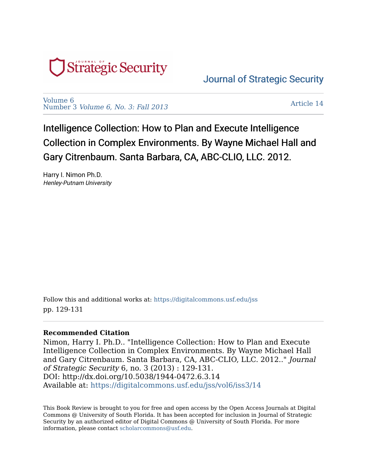

[Journal of Strategic Security](https://digitalcommons.usf.edu/jss) 

[Volume 6](https://digitalcommons.usf.edu/jss/vol6)  Number 3 [Volume 6, No. 3: Fall 2013](https://digitalcommons.usf.edu/jss/vol6/iss3) 

[Article 14](https://digitalcommons.usf.edu/jss/vol6/iss3/14) 

Intelligence Collection: How to Plan and Execute Intelligence Collection in Complex Environments. By Wayne Michael Hall and Gary Citrenbaum. Santa Barbara, CA, ABC-CLIO, LLC. 2012.

Harry I. Nimon Ph.D. Henley-Putnam University

Follow this and additional works at: [https://digitalcommons.usf.edu/jss](https://digitalcommons.usf.edu/jss?utm_source=digitalcommons.usf.edu%2Fjss%2Fvol6%2Fiss3%2F14&utm_medium=PDF&utm_campaign=PDFCoverPages) pp. 129-131

## **Recommended Citation**

Nimon, Harry I. Ph.D.. "Intelligence Collection: How to Plan and Execute Intelligence Collection in Complex Environments. By Wayne Michael Hall and Gary Citrenbaum. Santa Barbara, CA, ABC-CLIO, LLC. 2012.." Journal of Strategic Security 6, no. 3 (2013) : 129-131. DOI: http://dx.doi.org/10.5038/1944-0472.6.3.14 Available at: [https://digitalcommons.usf.edu/jss/vol6/iss3/14](https://digitalcommons.usf.edu/jss/vol6/iss3/14?utm_source=digitalcommons.usf.edu%2Fjss%2Fvol6%2Fiss3%2F14&utm_medium=PDF&utm_campaign=PDFCoverPages) 

This Book Review is brought to you for free and open access by the Open Access Journals at Digital Commons @ University of South Florida. It has been accepted for inclusion in Journal of Strategic Security by an authorized editor of Digital Commons @ University of South Florida. For more information, please contact [scholarcommons@usf.edu.](mailto:scholarcommons@usf.edu)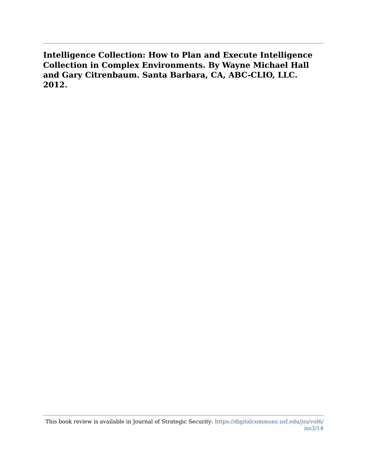**Intelligence Collection: How to Plan and Execute Intelligence Collection in Complex Environments. By Wayne Michael Hall and Gary Citrenbaum. Santa Barbara, CA, ABC-CLIO, LLC. 2012.**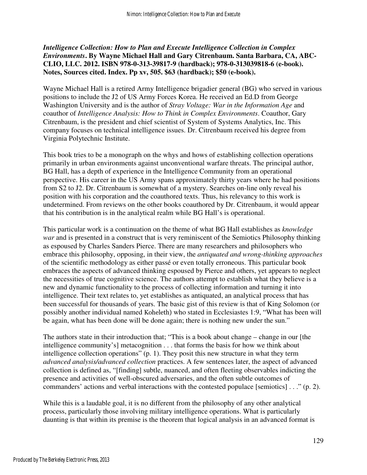## *Intelligence Collection: How to Plan and Execute Intelligence Collection in Complex Environments***. By Wayne Michael Hall and Gary Citrenbaum. Santa Barbara, CA, ABC-CLIO, LLC. 2012. ISBN 978-0-313-39817-9 (hardback); 978-0-313039818-6 (e-book). Notes, Sources cited. Index. Pp xv, 505. \$63 (hardback); \$50 (e-book).**

Wayne Michael Hall is a retired Army Intelligence brigadier general (BG) who served in various positions to include the J2 of US Army Forces Korea. He received an Ed.D from George Washington University and is the author of *Stray Voltage: War in the Information Age* and coauthor of *Intelligence Analysis: How to Think in Complex Environments*. Coauthor, Gary Citrenbaum, is the president and chief scientist of System of Systems Analytics, Inc. This company focuses on technical intelligence issues. Dr. Citrenbaum received his degree from Virginia Polytechnic Institute.

This book tries to be a monograph on the whys and hows of establishing collection operations primarily in urban environments against unconventional warfare threats. The principal author, BG Hall, has a depth of experience in the Intelligence Community from an operational perspective. His career in the US Army spans approximately thirty years where he had positions from S2 to J2. Dr. Citrenbaum is somewhat of a mystery. Searches on-line only reveal his position with his corporation and the coauthored texts. Thus, his relevancy to this work is undetermined. From reviews on the other books coauthored by Dr. Citrenbaum, it would appear that his contribution is in the analytical realm while BG Hall's is operational.

This particular work is a continuation on the theme of what BG Hall establishes as *knowledge war* and is presented in a construct that is very reminiscent of the Semiotics Philosophy thinking as espoused by Charles Sanders Pierce. There are many researchers and philosophers who embrace this philosophy, opposing, in their view, the *antiquated and wrong-thinking approaches* of the scientific methodology as either passé or even totally erroneous. This particular book embraces the aspects of advanced thinking espoused by Pierce and others, yet appears to neglect the necessities of true cognitive science. The authors attempt to establish what they believe is a new and dynamic functionality to the process of collecting information and turning it into intelligence. Their text relates to, yet establishes as antiquated, an analytical process that has been successful for thousands of years. The basic gist of this review is that of King Solomon (or possibly another individual named Koheleth) who stated in Ecclesiastes 1:9, "What has been will be again, what has been done will be done again; there is nothing new under the sun."

The authors state in their introduction that; "This is a book about change – change in our [the intelligence community's] metacognition . . . that forms the basis for how we think about intelligence collection operations" (p. 1). They posit this new structure in what they term *advanced analysis/advanced collection* practices. A few sentences later, the aspect of advanced collection is defined as, "[finding] subtle, nuanced, and often fleeting observables indicting the presence and activities of well-obscured adversaries, and the often subtle outcomes of commanders' actions and verbal interactions with the contested populace [semiotics] . . ." (p. 2).

While this is a laudable goal, it is no different from the philosophy of any other analytical process, particularly those involving military intelligence operations. What is particularly daunting is that within its premise is the theorem that logical analysis in an advanced format is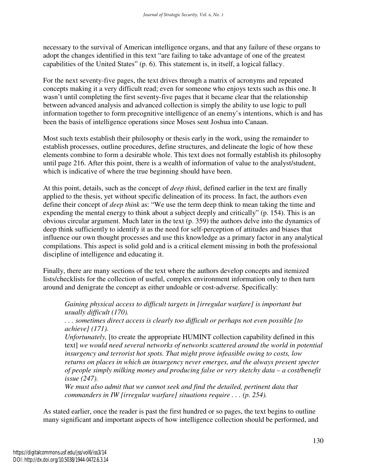necessary to the survival of American intelligence organs, and that any failure of these organs to adopt the changes identified in this text "are failing to take advantage of one of the greatest capabilities of the United States" (p. 6). This statement is, in itself, a logical fallacy.

For the next seventy-five pages, the text drives through a matrix of acronyms and repeated concepts making it a very difficult read; even for someone who enjoys texts such as this one. It wasn't until completing the first seventy-five pages that it became clear that the relationship between advanced analysis and advanced collection is simply the ability to use logic to pull information together to form precognitive intelligence of an enemy's intentions, which is and has been the basis of intelligence operations since Moses sent Joshua into Canaan.

Most such texts establish their philosophy or thesis early in the work, using the remainder to establish processes, outline procedures, define structures, and delineate the logic of how these elements combine to form a desirable whole. This text does not formally establish its philosophy until page 216. After this point, there is a wealth of information of value to the analyst/student, which is indicative of where the true beginning should have been.

At this point, details, such as the concept of *deep think*, defined earlier in the text are finally applied to the thesis, yet without specific delineation of its process. In fact, the authors even define their concept of *deep think* as: "We use the term deep think to mean taking the time and expending the mental energy to think about a subject deeply and critically" (p. 154). This is an obvious circular argument. Much later in the text (p. 359) the authors delve into the dynamics of deep think sufficiently to identify it as the need for self-perception of attitudes and biases that influence our own thought processes and use this knowledge as a primary factor in any analytical compilations. This aspect is solid gold and is a critical element missing in both the professional discipline of intelligence and educating it.

Finally, there are many sections of the text where the authors develop concepts and itemized lists/checklists for the collection of useful, complex environment information only to then turn around and denigrate the concept as either undoable or cost-adverse. Specifically:

*Gaining physical access to difficult targets in [irregular warfare] is important but usually difficult (170).* 

*. . . sometimes direct access is clearly too difficult or perhaps not even possible [to achieve] (171).* 

*Unfortunately,* [to create the appropriate HUMINT collection capability defined in this text] *we would need several networks of networks scattered around the world in potential insurgency and terrorist hot spots. That might prove infeasible owing to costs, low returns on places in which an insurgency never emerges, and the always present specter of people simply milking money and producing false or very sketchy data – a cost/benefit issue (247).* 

*We must also admit that we cannot seek and find the detailed, pertinent data that commanders in IW [irregular warfare] situations require . . . (p. 254).* 

As stated earlier, once the reader is past the first hundred or so pages, the text begins to outline many significant and important aspects of how intelligence collection should be performed, and